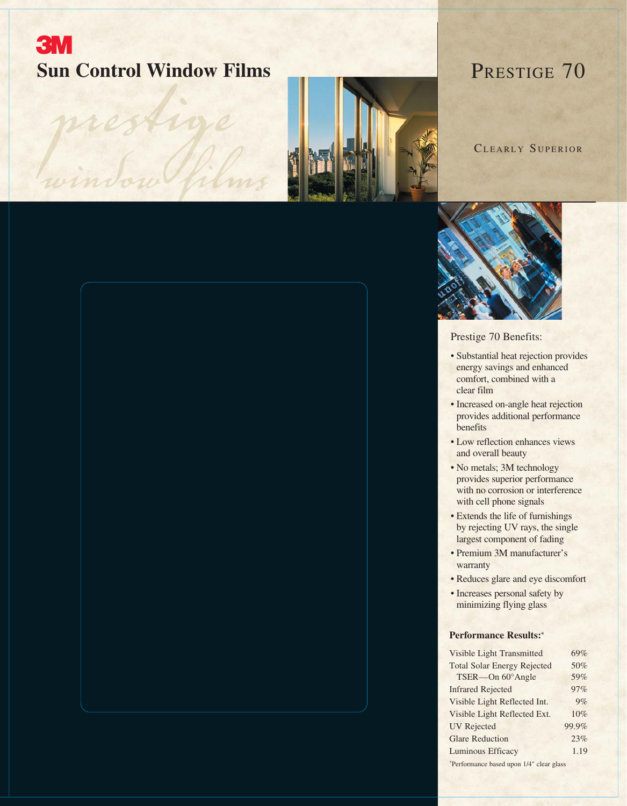## **3M Sun Control Window Films** PRESTIGE 70

présidont



CLEARLY SUPERIOR



Prestige 70 Benefits:

- Substantial heat rejection provides energy savings and enhanced comfort, combined with a clear film
- Increased on-angle heat rejection provides additional performance benefits
- Low reflection enhances views and overall beauty
- No metals; 3M technology provides superior performance with no corrosion or interference with cell phone signals
- Extends the life of furnishings by rejecting UV rays, the single largest component of fading
- Premium 3M manufacturer's warranty
- Reduces glare and eye discomfort
- Increases personal safety by minimizing flying glass

## **Performance Results:\***

| <b>Visible Light Transmitted</b>         | 69%   |  |  |
|------------------------------------------|-------|--|--|
| <b>Total Solar Energy Rejected</b>       | 50%   |  |  |
| TSER-On 60°Angle                         | 59%   |  |  |
| <b>Infrared Rejected</b>                 | 97%   |  |  |
| Visible Light Reflected Int.             | 9%    |  |  |
| Visible Light Reflected Ext.             | 10%   |  |  |
| <b>UV</b> Rejected                       | 99.9% |  |  |
| <b>Glare Reduction</b>                   | 23%   |  |  |
| <b>Luminous Efficacy</b>                 | 1.19  |  |  |
| *Performance based upon 1/4" clear glass |       |  |  |